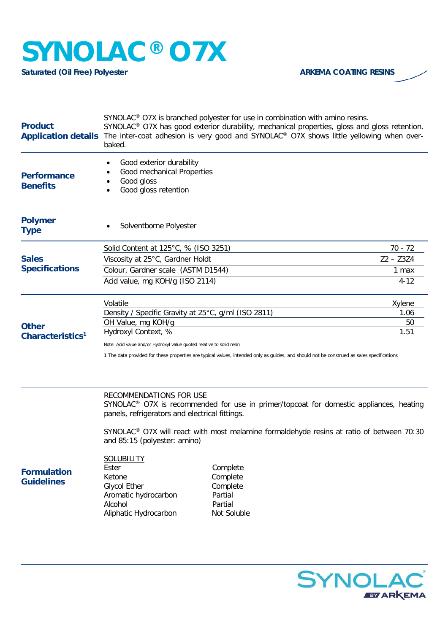## **SYNOLAC® O7X**

**Saturated (Oil Free) Polyester ARKEMA COATING RESINS** 

| <b>Product</b>                        | SYNOLAC <sup>®</sup> O7X is branched polyester for use in combination with amino resins.<br>SYNOLAC <sup>®</sup> O7X has good exterior durability, mechanical properties, gloss and gloss retention.<br>Application details The inter-coat adhesion is very good and SYNOLAC® O7X shows little yellowing when over-<br>baked. |             |  |
|---------------------------------------|-------------------------------------------------------------------------------------------------------------------------------------------------------------------------------------------------------------------------------------------------------------------------------------------------------------------------------|-------------|--|
| <b>Performance</b><br><b>Benefits</b> | Good exterior durability<br>٠<br>Good mechanical Properties<br>Good gloss<br>Good gloss retention                                                                                                                                                                                                                             |             |  |
| <b>Polymer</b><br><b>Type</b>         | Solventborne Polyester                                                                                                                                                                                                                                                                                                        |             |  |
| <b>Sales</b><br><b>Specifications</b> | Solid Content at 125°C, % (ISO 3251)                                                                                                                                                                                                                                                                                          | $70 - 72$   |  |
|                                       | Viscosity at 25°C, Gardner Holdt                                                                                                                                                                                                                                                                                              | $Z2 - Z3Z4$ |  |
|                                       | Colour, Gardner scale (ASTM D1544)                                                                                                                                                                                                                                                                                            | 1 max       |  |
|                                       | Acid value, mg KOH/g (ISO 2114)                                                                                                                                                                                                                                                                                               | $4 - 12$    |  |
|                                       | Volatile                                                                                                                                                                                                                                                                                                                      | Xylene      |  |
|                                       | Density / Specific Gravity at 25°C, g/ml (ISO 2811)                                                                                                                                                                                                                                                                           | 1.06        |  |
| <b>Other</b>                          | OH Value, mg KOH/g                                                                                                                                                                                                                                                                                                            | 50          |  |
| Characteristics <sup>1</sup>          | Hydroxyl Context, %                                                                                                                                                                                                                                                                                                           | 1.51        |  |
|                                       | Note: Acid value and/or Hydroxyl value quoted relative to solid resin                                                                                                                                                                                                                                                         |             |  |
|                                       | 1 The data provided for these properties are typical values, intended only as guides, and should not be construed as sales specifications                                                                                                                                                                                     |             |  |
|                                       | <b>RECOMMENDATIONS FOR USE</b><br>SYNOLAC <sup>®</sup> O7X is recommended for use in primer/topcoat for domestic appliances, heating<br>panels, refrigerators and electrical fittings.                                                                                                                                        |             |  |
|                                       | SYNOLAC <sup>®</sup> O7X will react with most melamine formaldehyde resins at ratio of between 70:30<br>and 85:15 (polyester: amino)                                                                                                                                                                                          |             |  |
|                                       | <b>SOLUBILITY</b>                                                                                                                                                                                                                                                                                                             |             |  |

**Formulation Guidelines**

Ester Complete Ketone Complete Glycol Ether Complete<br>
Aromatic hydrocarbon Partial Aromatic hydrocarbon Alcohol Partial Aliphatic Hydrocarbon Not Soluble